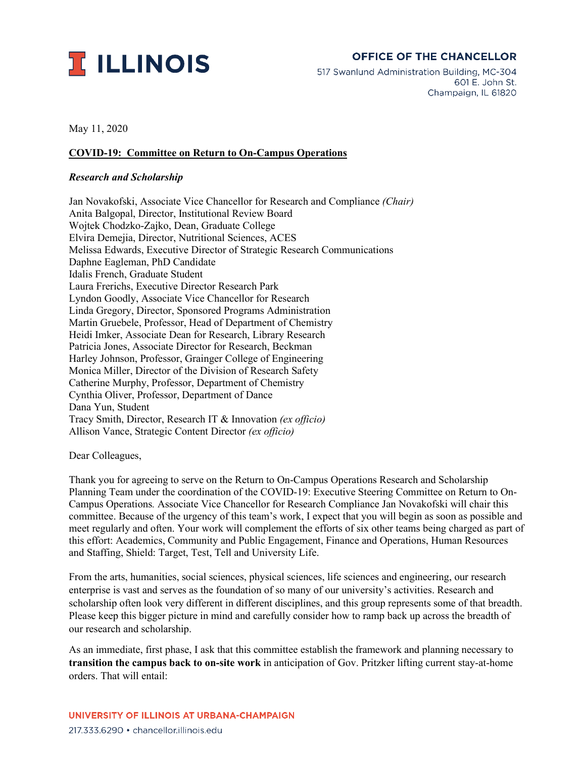

# **OFFICE OF THE CHANCELLOR**

517 Swanlund Administration Building, MC-304 601 E. John St. Champaign, IL 61820

May 11, 2020

#### **COVID-19: Committee on Return to On-Campus Operations**

#### *Research and Scholarship*

Jan Novakofski, Associate Vice Chancellor for Research and Compliance *(Chair)* Anita Balgopal, Director, Institutional Review Board Wojtek Chodzko-Zajko, Dean, Graduate College Elvira Demejia, Director, Nutritional Sciences, ACES Melissa Edwards, Executive Director of Strategic Research Communications Daphne Eagleman, PhD Candidate Idalis French, Graduate Student Laura Frerichs, Executive Director Research Park Lyndon Goodly, Associate Vice Chancellor for Research Linda Gregory, Director, Sponsored Programs Administration Martin Gruebele, Professor, Head of Department of Chemistry Heidi Imker, Associate Dean for Research, Library Research Patricia Jones, Associate Director for Research, Beckman Harley Johnson, Professor, Grainger College of Engineering Monica Miller, Director of the Division of Research Safety Catherine Murphy, Professor, Department of Chemistry Cynthia Oliver, Professor, Department of Dance Dana Yun, Student Tracy Smith, Director, Research IT & Innovation *(ex officio)* Allison Vance, Strategic Content Director *(ex officio)*

Dear Colleagues,

Thank you for agreeing to serve on the Return to On-Campus Operations Research and Scholarship Planning Team under the coordination of the COVID-19: Executive Steering Committee on Return to On-Campus Operations*.* Associate Vice Chancellor for Research Compliance Jan Novakofski will chair this committee. Because of the urgency of this team's work, I expect that you will begin as soon as possible and meet regularly and often. Your work will complement the efforts of six other teams being charged as part of this effort: Academics, Community and Public Engagement, Finance and Operations, Human Resources and Staffing, Shield: Target, Test, Tell and University Life.

From the arts, humanities, social sciences, physical sciences, life sciences and engineering, our research enterprise is vast and serves as the foundation of so many of our university's activities. Research and scholarship often look very different in different disciplines, and this group represents some of that breadth. Please keep this bigger picture in mind and carefully consider how to ramp back up across the breadth of our research and scholarship.

As an immediate, first phase, I ask that this committee establish the framework and planning necessary to **transition the campus back to on-site work** in anticipation of Gov. Pritzker lifting current stay-at-home orders. That will entail: